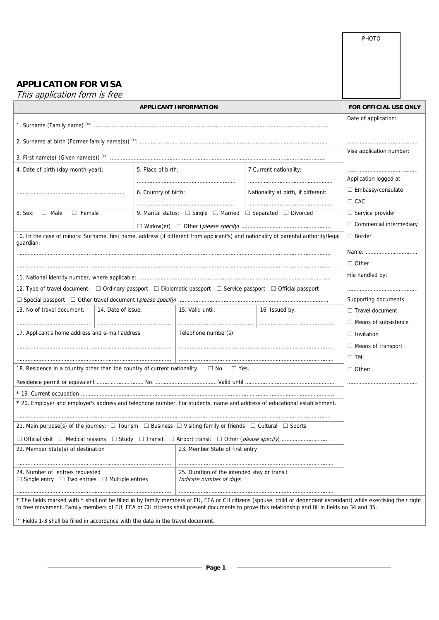|                                                                                                                                                                                                                                                                                                                     |                           |                                                                                  |                                     | PHOTO                       |  |  |
|---------------------------------------------------------------------------------------------------------------------------------------------------------------------------------------------------------------------------------------------------------------------------------------------------------------------|---------------------------|----------------------------------------------------------------------------------|-------------------------------------|-----------------------------|--|--|
|                                                                                                                                                                                                                                                                                                                     |                           |                                                                                  |                                     |                             |  |  |
|                                                                                                                                                                                                                                                                                                                     |                           |                                                                                  |                                     |                             |  |  |
|                                                                                                                                                                                                                                                                                                                     |                           |                                                                                  |                                     |                             |  |  |
| <b>APPLICATION FOR VISA</b>                                                                                                                                                                                                                                                                                         |                           |                                                                                  |                                     |                             |  |  |
| This application form is free                                                                                                                                                                                                                                                                                       |                           |                                                                                  |                                     |                             |  |  |
|                                                                                                                                                                                                                                                                                                                     | FOR OFFICIAL USE ONLY     |                                                                                  |                                     |                             |  |  |
|                                                                                                                                                                                                                                                                                                                     |                           |                                                                                  |                                     | Date of application:        |  |  |
|                                                                                                                                                                                                                                                                                                                     |                           |                                                                                  |                                     |                             |  |  |
|                                                                                                                                                                                                                                                                                                                     |                           |                                                                                  |                                     |                             |  |  |
|                                                                                                                                                                                                                                                                                                                     | Visa application number:  |                                                                                  |                                     |                             |  |  |
| 4. Date of birth (day-month-year):<br>5. Place of birth:<br>6. Country of birth:                                                                                                                                                                                                                                    |                           | 7. Current nationality:                                                          |                                     |                             |  |  |
|                                                                                                                                                                                                                                                                                                                     |                           |                                                                                  |                                     | Application logged at:      |  |  |
|                                                                                                                                                                                                                                                                                                                     |                           |                                                                                  | Nationality at birth, if different: | $\Box$ Embassy/consulate    |  |  |
|                                                                                                                                                                                                                                                                                                                     |                           |                                                                                  |                                     | $\Box$ CAC                  |  |  |
| 8. Sex: $\Box$ Male<br>$\Box$ Female                                                                                                                                                                                                                                                                                |                           | 9. Marital status: $\Box$ Single $\Box$ Married $\Box$ Separated $\Box$ Divorced |                                     | $\Box$ Service provider     |  |  |
|                                                                                                                                                                                                                                                                                                                     |                           |                                                                                  |                                     |                             |  |  |
| 10. In the case of minors: Surname, first name, address (if different from applicant's) and nationality of parental authority/legal<br>guardian:                                                                                                                                                                    | $\Box$ Border             |                                                                                  |                                     |                             |  |  |
|                                                                                                                                                                                                                                                                                                                     |                           |                                                                                  |                                     | Name:                       |  |  |
|                                                                                                                                                                                                                                                                                                                     |                           |                                                                                  |                                     | $\Box$ Other                |  |  |
|                                                                                                                                                                                                                                                                                                                     |                           |                                                                                  |                                     | File handled by:            |  |  |
| 12. Type of travel document: $\Box$ Ordinary passport $\Box$ Diplomatic passport $\Box$ Service passport $\Box$ Official passport                                                                                                                                                                                   |                           |                                                                                  |                                     |                             |  |  |
|                                                                                                                                                                                                                                                                                                                     | Supporting documents:     |                                                                                  |                                     |                             |  |  |
| 13. No of travel document:                                                                                                                                                                                                                                                                                          | 14. Date of issue:        | 15. Valid until:                                                                 | 16. Issued by:                      | $\Box$ Travel document      |  |  |
|                                                                                                                                                                                                                                                                                                                     |                           |                                                                                  |                                     | $\Box$ Means of subsistence |  |  |
| 17. Applicant's home address and e-mail address                                                                                                                                                                                                                                                                     |                           | Telephone number(s)                                                              |                                     | $\Box$ Invitation           |  |  |
|                                                                                                                                                                                                                                                                                                                     | $\Box$ Means of transport |                                                                                  |                                     |                             |  |  |
|                                                                                                                                                                                                                                                                                                                     | $\Box$ TMI                |                                                                                  |                                     |                             |  |  |
| 18. Residence in a country other than the country of current nationality                                                                                                                                                                                                                                            | $\Box$ Other:             |                                                                                  |                                     |                             |  |  |
|                                                                                                                                                                                                                                                                                                                     |                           |                                                                                  |                                     |                             |  |  |
|                                                                                                                                                                                                                                                                                                                     |                           |                                                                                  |                                     |                             |  |  |
| * 20. Employer and employer's address and telephone number. For students, name and address of educational establishment.                                                                                                                                                                                            |                           |                                                                                  |                                     |                             |  |  |
|                                                                                                                                                                                                                                                                                                                     |                           |                                                                                  |                                     |                             |  |  |
| 21. Main purpose(s) of the journey: $\Box$ Tourism $\Box$ Business $\Box$ Visiting family or friends $\Box$ Cultural $\Box$ Sports                                                                                                                                                                                  |                           |                                                                                  |                                     |                             |  |  |
|                                                                                                                                                                                                                                                                                                                     |                           |                                                                                  |                                     |                             |  |  |
| 22. Member State(s) of destination                                                                                                                                                                                                                                                                                  |                           | 23. Member State of first entry                                                  |                                     |                             |  |  |
|                                                                                                                                                                                                                                                                                                                     |                           |                                                                                  |                                     |                             |  |  |
| 24. Number of entries requested<br>$\Box$ Single entry $\Box$ Two entries $\Box$ Multiple entries                                                                                                                                                                                                                   |                           | 25. Duration of the intended stay or transit<br>Indicate number of days          |                                     |                             |  |  |
|                                                                                                                                                                                                                                                                                                                     |                           |                                                                                  |                                     |                             |  |  |
| * The fields marked with * shall not be filled in by family members of EU, EEA or CH citizens (spouse, child or dependent ascendant) while exercising their right<br>to free movement. Family members of EU, EEA or CH citizens shall present documents to prove this relationship and fill in fields no 34 and 35. |                           |                                                                                  |                                     |                             |  |  |
| $^{(x)}$ Fields 1-3 shall be filled in accordance with the data in the travel document.                                                                                                                                                                                                                             |                           |                                                                                  |                                     |                             |  |  |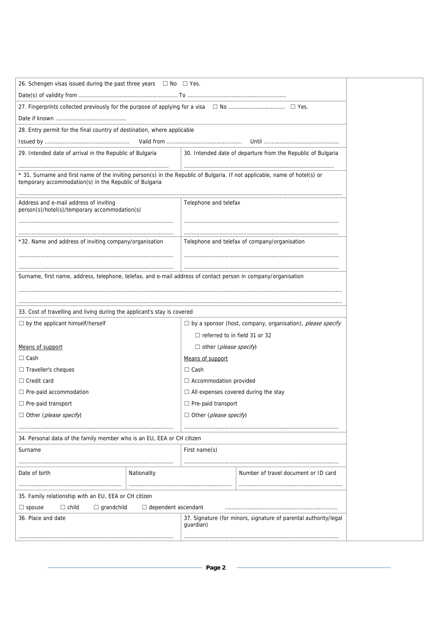| 26. Schengen visas issued during the past three years $\Box$ No $\Box$ Yes.                                                                                                          |             |                                                                   |                                                              |  |  |
|--------------------------------------------------------------------------------------------------------------------------------------------------------------------------------------|-------------|-------------------------------------------------------------------|--------------------------------------------------------------|--|--|
|                                                                                                                                                                                      |             |                                                                   |                                                              |  |  |
|                                                                                                                                                                                      |             |                                                                   |                                                              |  |  |
|                                                                                                                                                                                      |             |                                                                   |                                                              |  |  |
| 28. Entry permit for the final country of destination, where applicable                                                                                                              |             |                                                                   |                                                              |  |  |
|                                                                                                                                                                                      |             |                                                                   |                                                              |  |  |
| 29. Intended date of arrival in the Republic of Bulgaria                                                                                                                             |             |                                                                   | 30. Intended date of departure from the Republic of Bulgaria |  |  |
|                                                                                                                                                                                      |             |                                                                   |                                                              |  |  |
| * 31. Surname and first name of the inviting person(s) in the Republic of Bulgaria. If not applicable, name of hotel(s) or<br>temporary accommodation(s) in the Republic of Bulgaria |             |                                                                   |                                                              |  |  |
| Address and e-mail address of inviting                                                                                                                                               |             |                                                                   |                                                              |  |  |
| person(s)/hotel(s)/temporary accommodation(s)                                                                                                                                        |             |                                                                   | Telephone and telefax                                        |  |  |
|                                                                                                                                                                                      |             |                                                                   |                                                              |  |  |
|                                                                                                                                                                                      |             |                                                                   |                                                              |  |  |
| *32. Name and address of inviting company/organisation                                                                                                                               |             | Telephone and telefax of company/organisation                     |                                                              |  |  |
|                                                                                                                                                                                      |             |                                                                   |                                                              |  |  |
|                                                                                                                                                                                      |             |                                                                   |                                                              |  |  |
| Surname, first name, address, telephone, telefax, and e-mail address of contact person in company/organisation                                                                       |             |                                                                   |                                                              |  |  |
|                                                                                                                                                                                      |             |                                                                   |                                                              |  |  |
|                                                                                                                                                                                      |             |                                                                   |                                                              |  |  |
| 33. Cost of travelling and living during the applicant's stay is covered                                                                                                             |             |                                                                   |                                                              |  |  |
| $\Box$ by the applicant himself/herself                                                                                                                                              |             | $\Box$ by a sponsor (host, company, organisation), please specify |                                                              |  |  |
|                                                                                                                                                                                      |             | $\Box$ referred to in field 31 or 32                              |                                                              |  |  |
| Means of support                                                                                                                                                                     |             | $\Box$ other ( <i>please specify</i> )                            |                                                              |  |  |
| $\Box$ Cash                                                                                                                                                                          |             | Means of support                                                  |                                                              |  |  |
| $\Box$ Traveller's cheques                                                                                                                                                           |             | $\Box$ Cash                                                       |                                                              |  |  |
| $\Box$ Credit card                                                                                                                                                                   |             | $\Box$ Accommodation provided                                     |                                                              |  |  |
| $\Box$ Pre-paid accommodation                                                                                                                                                        |             | $\Box$ All expenses covered during the stay                       |                                                              |  |  |
| $\Box$ Pre-paid transport                                                                                                                                                            |             | $\Box$ Pre-paid transport                                         |                                                              |  |  |
| □ Other (please specify)                                                                                                                                                             |             | □ Other (please specify)                                          |                                                              |  |  |
|                                                                                                                                                                                      |             |                                                                   |                                                              |  |  |
| 34. Personal data of the family member who is an EU, EEA or CH citizen                                                                                                               |             |                                                                   |                                                              |  |  |
| Surname                                                                                                                                                                              |             | First name(s)                                                     |                                                              |  |  |
| Date of birth                                                                                                                                                                        | Nationality |                                                                   | Number of travel document or ID card                         |  |  |
|                                                                                                                                                                                      |             |                                                                   |                                                              |  |  |
| 35. Family relationship with an EU, EEA or CH citizen<br>$\Box$ grandchild<br>$\Box$ dependent ascendant<br>$\Box$ child                                                             |             |                                                                   |                                                              |  |  |
| $\Box$ spouse<br>36. Place and date<br>37. Signature (for minors, signature of parental authority/legal                                                                              |             |                                                                   |                                                              |  |  |
|                                                                                                                                                                                      |             | guardian)                                                         |                                                              |  |  |
|                                                                                                                                                                                      |             |                                                                   |                                                              |  |  |